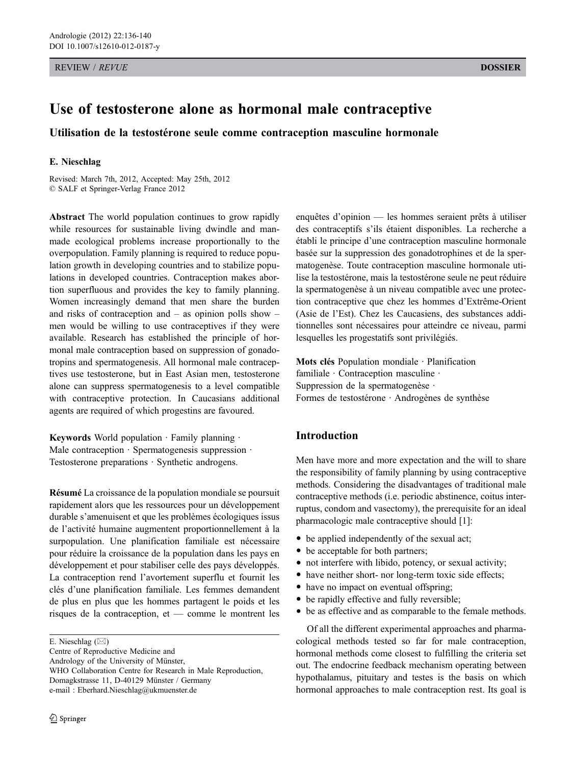REVIEW / *REVUE* DOSSIER

# Use of testosterone alone as hormonal male contraceptive

Utilisation de la testostérone seule comme contraception masculine hormonale

## E. Nieschlag

Revised: March 7th, 2012, Accepted: May 25th, 2012 © SALF et Springer-Verlag France 2012

Abstract The world population continues to grow rapidly while resources for sustainable living dwindle and manmade ecological problems increase proportionally to the overpopulation. Family planning is required to reduce population growth in developing countries and to stabilize populations in developed countries. Contraception makes abortion superfluous and provides the key to family planning. Women increasingly demand that men share the burden and risks of contraception and – as opinion polls show – men would be willing to use contraceptives if they were available. Research has established the principle of hormonal male contraception based on suppression of gonadotropins and spermatogenesis. All hormonal male contraceptives use testosterone, but in East Asian men, testosterone alone can suppress spermatogenesis to a level compatible with contraceptive protection. In Caucasians additional agents are required of which progestins are favoured.

Keywords World population · Family planning · Male contraception · Spermatogenesis suppression · Testosterone preparations · Synthetic androgens.

Résumé La croissance de la population mondiale se poursuit rapidement alors que les ressources pour un développement durable s'amenuisent et que les problèmes écologiques issus de l'activité humaine augmentent proportionnellement à la surpopulation. Une planification familiale est nécessaire pour réduire la croissance de la population dans les pays en développement et pour stabiliser celle des pays développés. La contraception rend l'avortement superflu et fournit les clés d'une planification familiale. Les femmes demandent de plus en plus que les hommes partagent le poids et les risques de la contraception, et — comme le montrent les

Centre of Reproductive Medicine and Andrology of the University of Münster, WHO Collaboration Centre for Research in Male Reproduction, Domagkstrasse 11, D-40129 Münster / Germany e-mail : Eberhard.Nieschlag@ukmuenster.de

enquêtes d'opinion — les hommes seraient prêts à utiliser des contraceptifs s'ils étaient disponibles. La recherche a établi le principe d'une contraception masculine hormonale basée sur la suppression des gonadotrophines et de la spermatogenèse. Toute contraception masculine hormonale utilise la testostérone, mais la testostérone seule ne peut réduire la spermatogenèse à un niveau compatible avec une protection contraceptive que chez les hommes d'Extrême-Orient (Asie de l'Est). Chez les Caucasiens, des substances additionnelles sont nécessaires pour atteindre ce niveau, parmi lesquelles les progestatifs sont privilégiés.

Mots clés Population mondiale · Planification familiale · Contraception masculine · Suppression de la spermatogenèse · Formes de testostérone · Androgènes de synthèse

# Introduction

Men have more and more expectation and the will to share the responsibility of family planning by using contraceptive methods. Considering the disadvantages of traditional male contraceptive methods (i.e. periodic abstinence, coitus interruptus, condom and vasectomy), the prerequisite for an ideal pharmacologic male contraceptive should [1]:

- be applied independently of the sexual act;
- be acceptable for both partners;
- not interfere with libido, potency, or sexual activity;
- have neither short- nor long-term toxic side effects;
- have no impact on eventual offspring;
- be rapidly effective and fully reversible;
- be as effective and as comparable to the female methods.

Of all the different experimental approaches and pharmacological methods tested so far for male contraception, hormonal methods come closest to fulfilling the criteria set out. The endocrine feedback mechanism operating between hypothalamus, pituitary and testes is the basis on which hormonal approaches to male contraception rest. Its goal is

E. Nieschlag  $(\boxtimes)$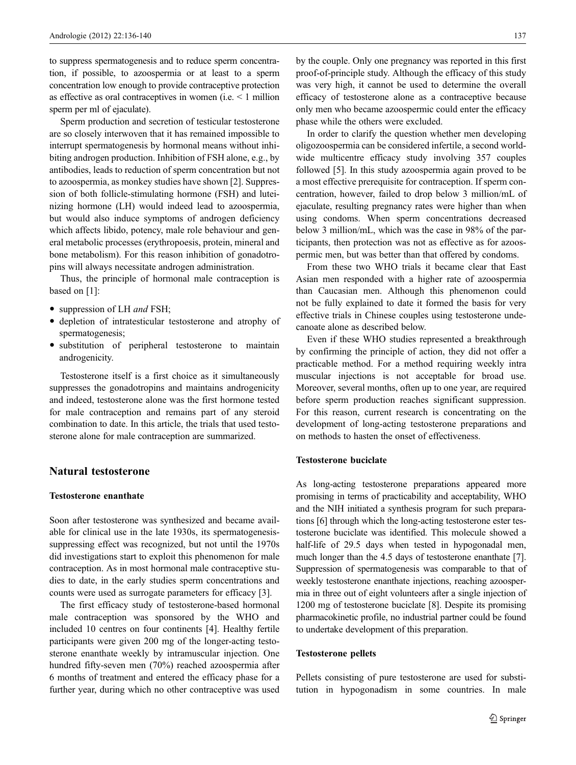to suppress spermatogenesis and to reduce sperm concentration, if possible, to azoospermia or at least to a sperm concentration low enough to provide contraceptive protection as effective as oral contraceptives in women (i.e. < 1 million sperm per ml of ejaculate).

Sperm production and secretion of testicular testosterone are so closely interwoven that it has remained impossible to interrupt spermatogenesis by hormonal means without inhibiting androgen production. Inhibition of FSH alone, e.g., by antibodies, leads to reduction of sperm concentration but not to azoospermia, as monkey studies have shown [2]. Suppression of both follicle-stimulating hormone (FSH) and luteinizing hormone (LH) would indeed lead to azoospermia, but would also induce symptoms of androgen deficiency which affects libido, potency, male role behaviour and general metabolic processes (erythropoesis, protein, mineral and bone metabolism). For this reason inhibition of gonadotropins will always necessitate androgen administration.

Thus, the principle of hormonal male contraception is based on [1]:

- suppression of LH and FSH;
- depletion of intratesticular testosterone and atrophy of spermatogenesis;
- substitution of peripheral testosterone to maintain androgenicity.

Testosterone itself is a first choice as it simultaneously suppresses the gonadotropins and maintains androgenicity and indeed, testosterone alone was the first hormone tested for male contraception and remains part of any steroid combination to date. In this article, the trials that used testosterone alone for male contraception are summarized.

# Natural testosterone

# Testosterone enanthate

Soon after testosterone was synthesized and became available for clinical use in the late 1930s, its spermatogenesissuppressing effect was recognized, but not until the 1970s did investigations start to exploit this phenomenon for male contraception. As in most hormonal male contraceptive studies to date, in the early studies sperm concentrations and counts were used as surrogate parameters for efficacy [3].

The first efficacy study of testosterone-based hormonal male contraception was sponsored by the WHO and included 10 centres on four continents [4]. Healthy fertile participants were given 200 mg of the longer-acting testosterone enanthate weekly by intramuscular injection. One hundred fifty-seven men (70%) reached azoospermia after 6 months of treatment and entered the efficacy phase for a further year, during which no other contraceptive was used by the couple. Only one pregnancy was reported in this first proof-of-principle study. Although the efficacy of this study was very high, it cannot be used to determine the overall efficacy of testosterone alone as a contraceptive because only men who became azoospermic could enter the efficacy phase while the others were excluded.

In order to clarify the question whether men developing oligozoospermia can be considered infertile, a second worldwide multicentre efficacy study involving 357 couples followed [5]. In this study azoospermia again proved to be a most effective prerequisite for contraception. If sperm concentration, however, failed to drop below 3 million/mL of ejaculate, resulting pregnancy rates were higher than when using condoms. When sperm concentrations decreased below 3 million/mL, which was the case in 98% of the participants, then protection was not as effective as for azoospermic men, but was better than that offered by condoms.

From these two WHO trials it became clear that East Asian men responded with a higher rate of azoospermia than Caucasian men. Although this phenomenon could not be fully explained to date it formed the basis for very effective trials in Chinese couples using testosterone undecanoate alone as described below.

Even if these WHO studies represented a breakthrough by confirming the principle of action, they did not offer a practicable method. For a method requiring weekly intra muscular injections is not acceptable for broad use. Moreover, several months, often up to one year, are required before sperm production reaches significant suppression. For this reason, current research is concentrating on the development of long-acting testosterone preparations and on methods to hasten the onset of effectiveness.

# Testosterone buciclate

As long-acting testosterone preparations appeared more promising in terms of practicability and acceptability, WHO and the NIH initiated a synthesis program for such preparations [6] through which the long-acting testosterone ester testosterone buciclate was identified. This molecule showed a half-life of 29.5 days when tested in hypogonadal men, much longer than the 4.5 days of testosterone enanthate [7]. Suppression of spermatogenesis was comparable to that of weekly testosterone enanthate injections, reaching azoospermia in three out of eight volunteers after a single injection of 1200 mg of testosterone buciclate [8]. Despite its promising pharmacokinetic profile, no industrial partner could be found to undertake development of this preparation.

## Testosterone pellets

Pellets consisting of pure testosterone are used for substitution in hypogonadism in some countries. In male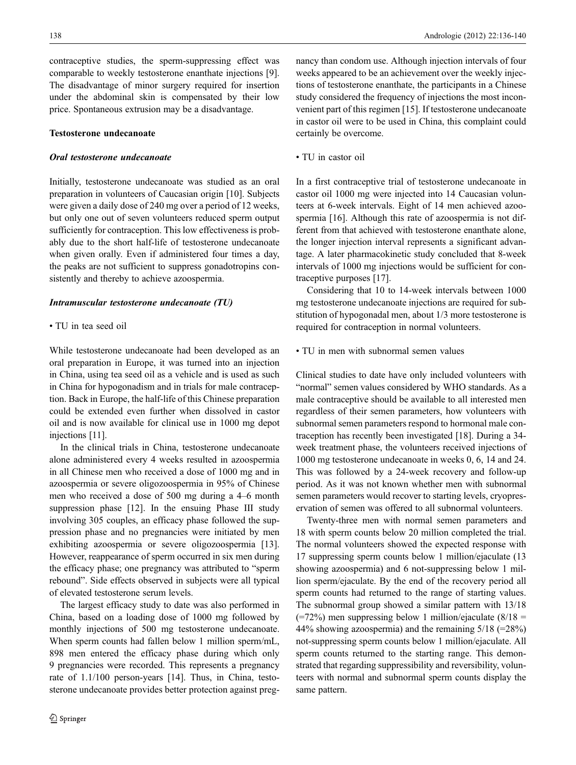contraceptive studies, the sperm-suppressing effect was comparable to weekly testosterone enanthate injections [9]. The disadvantage of minor surgery required for insertion under the abdominal skin is compensated by their low price. Spontaneous extrusion may be a disadvantage.

## Testosterone undecanoate

# Oral testosterone undecanoate

Initially, testosterone undecanoate was studied as an oral preparation in volunteers of Caucasian origin [10]. Subjects were given a daily dose of 240 mg over a period of 12 weeks, but only one out of seven volunteers reduced sperm output sufficiently for contraception. This low effectiveness is probably due to the short half-life of testosterone undecanoate when given orally. Even if administered four times a day, the peaks are not sufficient to suppress gonadotropins consistently and thereby to achieve azoospermia.

#### Intramuscular testosterone undecanoate (TU)

## • TU in tea seed oil

While testosterone undecanoate had been developed as an oral preparation in Europe, it was turned into an injection in China, using tea seed oil as a vehicle and is used as such in China for hypogonadism and in trials for male contraception. Back in Europe, the half-life of this Chinese preparation could be extended even further when dissolved in castor oil and is now available for clinical use in 1000 mg depot injections [11].

In the clinical trials in China, testosterone undecanoate alone administered every 4 weeks resulted in azoospermia in all Chinese men who received a dose of 1000 mg and in azoospermia or severe oligozoospermia in 95% of Chinese men who received a dose of 500 mg during a 4–6 month suppression phase [12]. In the ensuing Phase III study involving 305 couples, an efficacy phase followed the suppression phase and no pregnancies were initiated by men exhibiting azoospermia or severe oligozoospermia [13]. However, reappearance of sperm occurred in six men during the efficacy phase; one pregnancy was attributed to "sperm rebound". Side effects observed in subjects were all typical of elevated testosterone serum levels.

The largest efficacy study to date was also performed in China, based on a loading dose of 1000 mg followed by monthly injections of 500 mg testosterone undecanoate. When sperm counts had fallen below 1 million sperm/mL, 898 men entered the efficacy phase during which only 9 pregnancies were recorded. This represents a pregnancy rate of 1.1/100 person-years [14]. Thus, in China, testosterone undecanoate provides better protection against pregnancy than condom use. Although injection intervals of four weeks appeared to be an achievement over the weekly injections of testosterone enanthate, the participants in a Chinese study considered the frequency of injections the most inconvenient part of this regimen [15]. If testosterone undecanoate in castor oil were to be used in China, this complaint could certainly be overcome.

• TU in castor oil

In a first contraceptive trial of testosterone undecanoate in castor oil 1000 mg were injected into 14 Caucasian volunteers at 6-week intervals. Eight of 14 men achieved azoospermia [16]. Although this rate of azoospermia is not different from that achieved with testosterone enanthate alone, the longer injection interval represents a significant advantage. A later pharmacokinetic study concluded that 8-week intervals of 1000 mg injections would be sufficient for contraceptive purposes [17].

Considering that 10 to 14-week intervals between 1000 mg testosterone undecanoate injections are required for substitution of hypogonadal men, about 1/3 more testosterone is required for contraception in normal volunteers.

# • TU in men with subnormal semen values

Clinical studies to date have only included volunteers with "normal" semen values considered by WHO standards. As a male contraceptive should be available to all interested men regardless of their semen parameters, how volunteers with subnormal semen parameters respond to hormonal male contraception has recently been investigated [18]. During a 34 week treatment phase, the volunteers received injections of 1000 mg testosterone undecanoate in weeks 0, 6, 14 and 24. This was followed by a 24-week recovery and follow-up period. As it was not known whether men with subnormal semen parameters would recover to starting levels, cryopreservation of semen was offered to all subnormal volunteers.

Twenty-three men with normal semen parameters and 18 with sperm counts below 20 million completed the trial. The normal volunteers showed the expected response with 17 suppressing sperm counts below 1 million/ejaculate (13 showing azoospermia) and 6 not-suppressing below 1 million sperm/ejaculate. By the end of the recovery period all sperm counts had returned to the range of starting values. The subnormal group showed a similar pattern with 13/18 (=72%) men suppressing below 1 million/ejaculate (8/18 = 44% showing azoospermia) and the remaining  $5/18$  (=28%) not-suppressing sperm counts below 1 million/ejaculate. All sperm counts returned to the starting range. This demonstrated that regarding suppressibility and reversibility, volunteers with normal and subnormal sperm counts display the same pattern.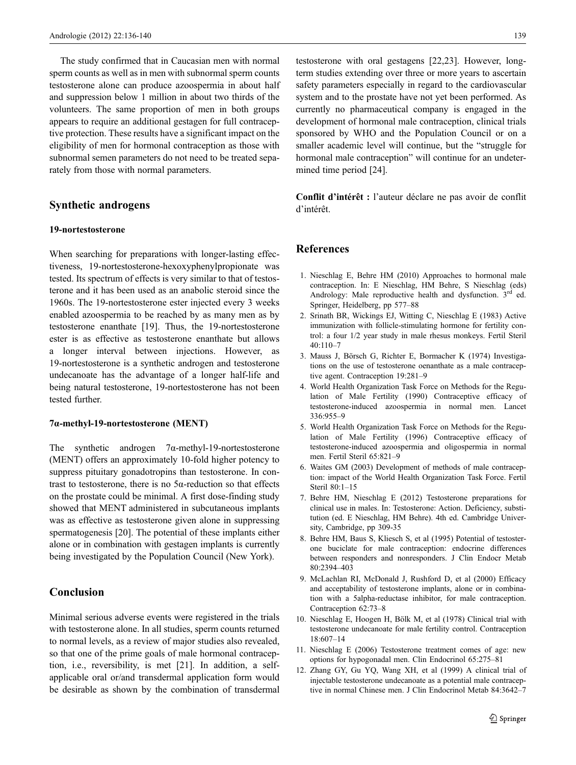The study confirmed that in Caucasian men with normal sperm counts as well as in men with subnormal sperm counts testosterone alone can produce azoospermia in about half and suppression below 1 million in about two thirds of the volunteers. The same proportion of men in both groups appears to require an additional gestagen for full contraceptive protection. These results have a significant impact on the eligibility of men for hormonal contraception as those with subnormal semen parameters do not need to be treated separately from those with normal parameters.

# Synthetic androgens

### 19-nortestosterone

When searching for preparations with longer-lasting effectiveness, 19-nortestosterone-hexoxyphenylpropionate was tested. Its spectrum of effects is very similar to that of testosterone and it has been used as an anabolic steroid since the 1960s. The 19-nortestosterone ester injected every 3 weeks enabled azoospermia to be reached by as many men as by testosterone enanthate [19]. Thus, the 19-nortestosterone ester is as effective as testosterone enanthate but allows a longer interval between injections. However, as 19-nortestosterone is a synthetic androgen and testosterone undecanoate has the advantage of a longer half-life and being natural testosterone, 19-nortestosterone has not been tested further.

### 7α-methyl-19-nortestosterone (MENT)

The synthetic androgen  $7\alpha$ -methyl-19-nortestosterone (MENT) offers an approximately 10-fold higher potency to suppress pituitary gonadotropins than testosterone. In contrast to testosterone, there is no  $5\alpha$ -reduction so that effects on the prostate could be minimal. A first dose-finding study showed that MENT administered in subcutaneous implants was as effective as testosterone given alone in suppressing spermatogenesis [20]. The potential of these implants either alone or in combination with gestagen implants is currently being investigated by the Population Council (New York).

# Conclusion

Minimal serious adverse events were registered in the trials with testosterone alone. In all studies, sperm counts returned to normal levels, as a review of major studies also revealed, so that one of the prime goals of male hormonal contraception, i.e., reversibility, is met [21]. In addition, a selfapplicable oral or/and transdermal application form would be desirable as shown by the combination of transdermal

testosterone with oral gestagens [22,23]. However, longterm studies extending over three or more years to ascertain safety parameters especially in regard to the cardiovascular system and to the prostate have not yet been performed. As currently no pharmaceutical company is engaged in the development of hormonal male contraception, clinical trials sponsored by WHO and the Population Council or on a smaller academic level will continue, but the "struggle for hormonal male contraception" will continue for an undetermined time period [24].

Conflit d'intérêt : l'auteur déclare ne pas avoir de conflit d'intérêt.

# References

- 1. Nieschlag E, Behre HM (2010) Approaches to hormonal male contraception. In: E Nieschlag, HM Behre, S Nieschlag (eds) Andrology: Male reproductive health and dysfunction. 3<sup>rd</sup> ed. Springer, Heidelberg, pp 577–88
- 2. Srinath BR, Wickings EJ, Witting C, Nieschlag E (1983) Active immunization with follicle-stimulating hormone for fertility control: a four 1/2 year study in male rhesus monkeys. Fertil Steril 40:110–7
- 3. Mauss J, Börsch G, Richter E, Bormacher K (1974) Investigations on the use of testosterone oenanthate as a male contraceptive agent. Contraception 19:281–9
- 4. World Health Organization Task Force on Methods for the Regulation of Male Fertility (1990) Contraceptive efficacy of testosterone-induced azoospermia in normal men. Lancet 336:955–9
- 5. World Health Organization Task Force on Methods for the Regulation of Male Fertility (1996) Contraceptive efficacy of testosterone-induced azoospermia and oligospermia in normal men. Fertil Steril 65:821–9
- 6. Waites GM (2003) Development of methods of male contraception: impact of the World Health Organization Task Force. Fertil Steril 80:1–15
- 7. Behre HM, Nieschlag E (2012) Testosterone preparations for clinical use in males. In: Testosterone: Action. Deficiency, substitution (ed. E Nieschlag, HM Behre). 4th ed. Cambridge University, Cambridge, pp 309-35
- 8. Behre HM, Baus S, Kliesch S, et al (1995) Potential of testosterone buciclate for male contraception: endocrine differences between responders and nonresponders. J Clin Endocr Metab 80:2394–403
- 9. McLachlan RI, McDonald J, Rushford D, et al (2000) Efficacy and acceptability of testosterone implants, alone or in combination with a 5alpha-reductase inhibitor, for male contraception. Contraception 62:73–8
- 10. Nieschlag E, Hoogen H, Bölk M, et al (1978) Clinical trial with testosterone undecanoate for male fertility control. Contraception 18:607–14
- 11. Nieschlag E (2006) Testosterone treatment comes of age: new options for hypogonadal men. Clin Endocrinol 65:275–81
- 12. Zhang GY, Gu YQ, Wang XH, et al (1999) A clinical trial of injectable testosterone undecanoate as a potential male contraceptive in normal Chinese men. J Clin Endocrinol Metab 84:3642–7